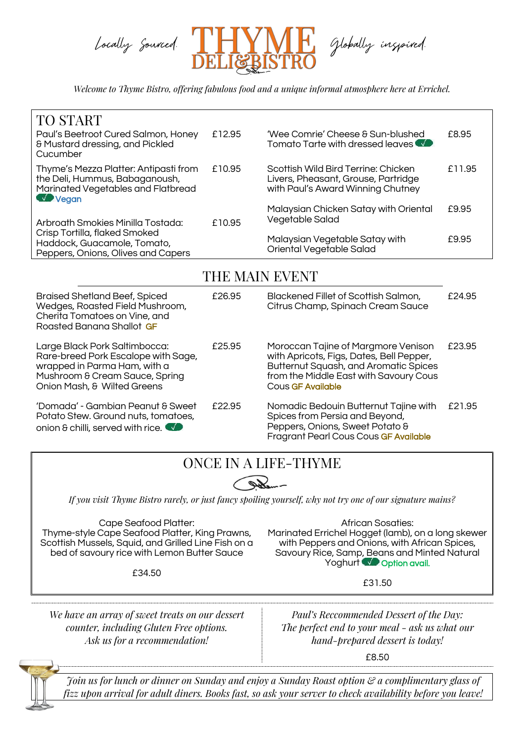

*Welcome to Thyme Bistro, offering fabulous food and a unique informal atmosphere here at Errichel.*

| TO START<br>Paul's Beetroot Cured Salmon, Honey<br>8 Mustard dressing, and Pickled<br>Cucumber                                                                        | £12.95 | 'Wee Comrie' Cheese & Sun-blushed<br>Tomato Tarte with dressed leaves                                                                                                                          | £8.95  |
|-----------------------------------------------------------------------------------------------------------------------------------------------------------------------|--------|------------------------------------------------------------------------------------------------------------------------------------------------------------------------------------------------|--------|
| Thyme's Mezza Platter: Antipasti from<br>the Deli, Hummus, Babaganoush,<br>Marinated Vegetables and Flatbread<br><b>WA Vegan</b>                                      | £10.95 | Scottish Wild Bird Terrine: Chicken<br>Livers, Pheasant, Grouse, Partridge<br>with Paul's Award Winning Chutney                                                                                | £11.95 |
| Arbroath Smokies Minilla Tostada:<br>Crisp Tortilla, flaked Smoked<br>Haddock, Guacamole, Tomato,<br>Peppers, Onions, Olives and Capers                               | £10.95 | Malaysian Chicken Satay with Oriental<br>Vegetable Salad                                                                                                                                       | £9.95  |
|                                                                                                                                                                       |        | Malaysian Vegetable Satay with<br>Oriental Vegetable Salad                                                                                                                                     | £9.95  |
| THE MAIN EVENT                                                                                                                                                        |        |                                                                                                                                                                                                |        |
| <b>Braised Shetland Beef, Spiced</b><br>Wedges, Roasted Field Mushroom,<br>Cherita Tomatoes on Vine, and<br>Roasted Banana Shallot GF                                 | £26.95 | Blackened Fillet of Scottish Salmon,<br>Citrus Champ, Spinach Cream Sauce                                                                                                                      | £24.95 |
| Large Black Pork Saltimbocca:<br>Rare-breed Pork Escalope with Sage,<br>wrapped in Parma Ham, with a<br>Mushroom & Cream Sauce, Spring<br>Onion Mash, & Wilted Greens | £25.95 | Moroccan Tajine of Margmore Venison<br>with Apricots, Figs, Dates, Bell Pepper,<br><b>Butternut Squash, and Aromatic Spices</b><br>from the Middle East with Savoury Cous<br>Cous GF Available | £23.95 |
| 'Domada' - Gambian Peanut & Sweet<br>Potato Stew. Ground nuts, tomatoes,<br>onion & chilli, served with rice.                                                         | £22.95 | Nomadic Bedouin Butternut Tajine with<br>Spices from Persia and Beyond,<br>Peppers, Onions, Sweet Potato &<br>Fragrant Pearl Cous Cous GF Available                                            | £21.95 |

## ONCE IN A LIFE-THYME

If you visit Thyme Bistro rarely, or just fancy spoiling yourself, why not try one of our signature mains?

Cape Seafood Platter: Thyme-style Cape Seafood Platter, King Prawns, Scottish Mussels, Squid, and Grilled Line Fish on a bed of savoury rice with Lemon Butter Sauce

£34.50

African Sosaties: Marinated Errichel Hogget (lamb), on a long skewer with Peppers and Onions, with African Spices, Savoury Rice, Samp, Beans and Minted Natural Yoghurt **Option avail.** 

£31.50

*We have an array of sweet treats on our dessert counter, including Gluten Free options. Ask us for a recommendation!*

*Paul's Reccommended Dessert of the Day: The perfect end to your meal - ask us what our hand-prepared dessert is today!*

£8.50



Foin us for lunch or dinner on Sunday and enjoy a Sunday Roast option  $\mathcal C$  a complimentary glass of fizz upon arrival for adult diners. Books fast, so ask your server to check availability before you leave!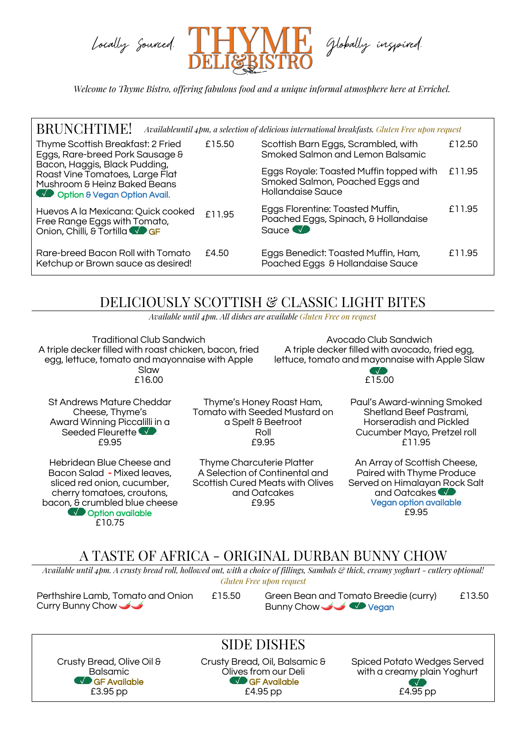

*Welcome to Thyme Bistro, offering fabulous food and a unique informal atmosphere here at Errichel.*

| <b>BRUNCHTIME!</b>                                                                                                                                                                                        |        | Availableuntil 4pm, a selection of delicious international breakfasts. Gluten Free upon request |        |
|-----------------------------------------------------------------------------------------------------------------------------------------------------------------------------------------------------------|--------|-------------------------------------------------------------------------------------------------|--------|
| Thyme Scottish Breakfast: 2 Fried<br>Eggs, Rare-breed Pork Sausage &<br>Bacon, Haggis, Black Pudding,<br>Roast Vine Tomatoes, Large Flat<br>Mushroom & Heinz Baked Beans<br>Coption & Vegan Option Avail. | £15.50 | Scottish Barn Eggs, Scrambled, with<br>Smoked Salmon and Lemon Balsamic                         | £12.50 |
|                                                                                                                                                                                                           |        | Eggs Royale: Toasted Muffin topped with<br>Smoked Salmon, Poached Eggs and<br>Hollandaise Sauce | £11.95 |
| Huevos A la Mexicana: Quick cooked<br>Free Range Eggs with Tomato,<br>Onion, Chilli, & Tortilla                                                                                                           | £11.95 | Eggs Florentine: Toasted Muffin,<br>Poached Eggs, Spinach, & Hollandaise<br>Squce <b>W</b>      | £11.95 |
| Rare-breed Bacon Roll with Tomato<br>Ketchup or Brown sauce as desired!                                                                                                                                   | £4.50  | Eggs Benedict: Toasted Muffin, Ham,<br>Poached Eggs & Hollandaise Sauce                         | £11.95 |

## DELICIOUSLY SCOTTISH & CLASSIC LIGHT BITES

*Available until 4pm. All dishes are available Gluten Free on request*

Traditional Club Sandwich A triple decker filled with roast chicken, bacon, fried egg, lettuce, tomato and mayonnaise with Apple Slaw £16.00

Avocado Club Sandwich A triple decker filled with avocado, fried egg, lettuce, tomato and mayonnaise with Apple Slaw

£15.00

St Andrews Mature Cheddar Cheese, Thyme's Award Winning Piccalilli in a Seeded Fleurette £9.95

Hebridean Blue Cheese and Bacon Salad - Mixed leaves, sliced red onion, cucumber, cherry tomatoes, croutons, bacon, & crumbled blue cheese **NO** Option available £10.75

Thyme's Honey Roast Ham, Tomato with Seeded Mustard on a Spelt & Beetroot Roll £9.95

Thyme Charcuterie Platter A Selection of Continental and Scottish Cured Meats with Olives and Oatcakes £9.95

Paul's Award-winning Smoked Shetland Beef Pastrami, Horseradish and Pickled Cucumber Mayo, Pretzel roll £11.95

An Array of Scottish Cheese, Paired with Thyme Produce Served on Himalayan Rock Salt and Oatcakes Vegan option available £9.95

## A TASTE OF AFRICA - ORIGINAL DURBAN BUNNY CHOW

Available until 4pm. A crusty bread roll, hollowed out, with a choice of fillings, Sambals & thick, creamy yoghurt - cutlery optional! *Gluten Free upon request*

Perthshire Lamb, Tomato and Onion £15.50 Curry Bunny Chow

Green Bean and Tomato Breedie (curry) Bunny Chow  $\rightarrow \rightarrow \rightarrow \rightarrow \rightarrow \rightarrow$  Vegan £13.50

Balsamic **Sale Available** £3.95 pp

Crusty Bread, Olive Oil & Crusty Bread, Oil, Balsan<br>Balsamic Crusty Bives from our Deli Crusty Bread, Oil, Balsamic & GF Available £4.95 pp

SIDE DISHES

Spiced Potato Wedges Served Olives from our Deli with a creamy plain Yoghurt 7 J £4.95 pp